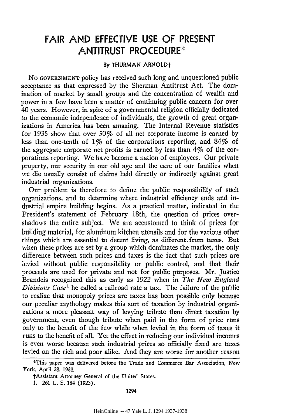## FAIR **AND EFFECTIVE USE** OF **PRESENT ANTITRUST** PROCEDURE\*

## **By THURMAN ARNOLDt**

No GOVERNMENT policy has received such long and unquestioned public acceptance as that expressed by the Sherman Antitrust Act. The domination of market by small groups and the concentration of wealth and power in a few have been a matter of continuing public concern for over 40 years. However, in spite of a governmental religion officially dedicated to the economic independence of individuals, the growth of great organizations in America has been amazing. The Internal Revenue statistics for 1935 show that over 50% of all net corporate income is earned by less than one-tenth of 1% of the corporations reporting, and 84% of the aggregate corporate net profits is earned by less than 4% of the corporations reporting. We have become a nation of employees. Our private property, our security in our old age and the care of our families when we die usually consist of claims held directly or indirectly against great industrial organizations.

Our problem is therefore to define the public responsibility of such organizations, and to determine where industrial efficiency ends and industrial empire building begins. As a practical matter, indicated in the President's statement of February 18th, the question of prices overshadows the entire subject. We are accustomed to think of prices for building material, for aluminum kitchen utensils and for the various other things which are essential to decent living, as different.from taxes. But when these prices are set by a group which dominates the market, the only difference between such prices and taxes is the fact that such prices are levied without public responsibility or public control, and that their proceeds are used for private and not for public purposes. Mr. Justice Brandeis recognized this as early as 1922 when in *The New England Divisions Case'* he called a railroad rate a tax. The failure of the public to realize that monopoly prices are taxes has been possible only because our peculiar mythology makes this sort of taxation by industrial organizations a more pleasant way of levying tribute than direct taxation by government, even though tribute when paid in the form of price runs only to the benefit of the few while when levied in the form of taxes it runs to the benefit of all. Yet the effect in reducing our individual incomes is even worse because such industrial prices so officially fixed are taxes levied on the rich and poor alike. And they are worse for another reason

1. 261 U. S. 184 (1923).

<sup>\*</sup>This paper was delivered before the Trade and Commerce Bar Association, New York, April 28, **1938.**

tAssistant Attorney General of the United States.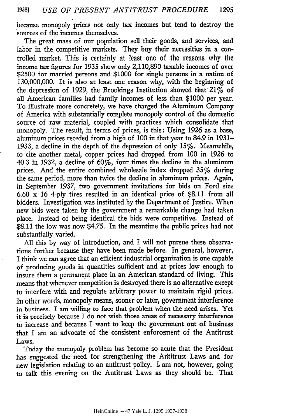because monopoly prices not only tax incomes but tend to destroy the sources of the incomes themselves.

The great mass of our population sell their goods, and services, and labor in the competitive markets. They buy their necessities in a controlled market. This is certainly at least one of the reasons why the income tax figures for 1935 show only 2,110,890 taxable incomes of over \$2500 for married persons and \$1000 for single persons in a nation of 130,000,000. It is also at least one reason why, with the beginning of the depression of 1929, the Brookings Institution showed that 21% of all American families had family incomes of less than \$1000 per year. To illustrate more concretely, we have charged the Aluminum Company of America with substantially complete monopoly control of the domestic source of raw material, coupled with practices which consolidate that monopoly. The result, in terms of prices, is this: Using 1926 as a base, aluminum prices receded from a high of 100 in that year to 84.9 in 1931- 1933, a decline in the depth of the depression of only 15%. Meanwhile, to cite another metal, copper prices had dropped from 100 in 1926 to 40.3 in 1932, a decline of  $60\%$ , four times the decline in the aluminum prices. And the entire combined wholesale index dropped 35% during the same period, more than twice the decline in aluminum prices. Again, in September 1937, two government invitations for bids on Ford size  $6.60 \times 16$  4-ply tires resulted in an identical price of \$8.11 from all bidders. Investigation was instituted by the Department of Justice. When new bids were taken by the government a remarkable change had taken place. Instead of being identical the bids were competitive. Instead of \$8.11 the low was now \$4.75. In the meantime the public prices had not substantially varied.

All this by way of introduction, and I will not pursue these observations further because they have been made before. In general, however, I think we can agree that an efficient industrial organization is one capable of producing goods in quantities sufficient and at prices low enough to insure them a permanent place in an American standard of living. This means that whenever competition is destroyed there is no alternative except to interfere with and regulate arbitrary power to maintain rigid prices. In other words, monopoly means, sooner or later, government interference in business. I am willing to face that problem when the need arises. Yet it is precisely because I do not wish those areas of necessary interference to increase and because I want to keep the government out of business that I am an advocate of the consistent enforcement of the Antitrust Laws.

Today the monopoly problem has become so acute that the President has suggested the need for strengthening the Antitrust Laws and for new legislation relating to an antitrust policy. **I,** am not, however, going to talk this evening on the Antitrust Laws as they should be. That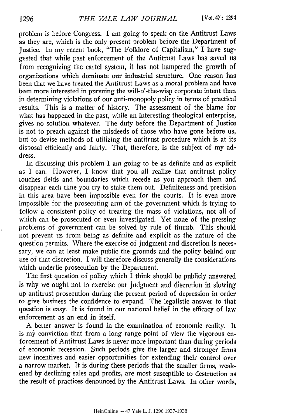problem is before Congress. I am going to speak on the Antitrust Laws as they are, which is the only present problem before the Department of Justice. In my recent book, "The Folklore of Capitalism," I have suggested that while past enforcement of the Antitrust Laws has saved us from recognizing the cartel system, it has not hampered the growth of organizations which dominate our industrial structure. One reason has been that we have treated the Antitrust Laws as a moral problem and have been more interested in pursuing the will-o'-the-wisp corporate intent than in determining violations of our anti-monopoly policy in terms of practical results. This is a matter of history. The assessment of the blame for what has happened in the past, while an interesting theological enterprise, gives no solution whatever. The duty before the Department of Justice is not to preach against the misdeeds of those who have gone before us, but to devise methods of utilizing the antitrust procedure which is at its disposal efficiently and fairly. That, therefore, is the subject of my address.

In discussing this problem I am going to be as definite and as explicit as I can. However, I know that you all realize that antitrust policy touches fields and boundaries which recede as you approach them and disappear each time you try to stake then out. Definiteness and precision in this area have been impossible even for the courts. It is even more impossible for the prosecuting arm of the government which is trying to follow a consistent policy of treating the mass of violations, not all of which can be prosecuted or even investigated. Yet none of the pressing problems of government can be solved by rule of thumb. This should not prevent us from being as definite and explicit as the nature of the question permits. Where the exercise of judgment and discretion is necessary, we can at least make public the grounds and the policy behind our use of that discretion. I will therefore discuss generally the considerations which underlie prosecution by the Department.

The first question of policy which I think should be publicly answered is why we ought not to exercise our judgment and discretion in slowing up antitrust prosecution during the present period of depression in order to give business the confidence to expand. The legalistic answer to that question is easy. It is found in our national belief in the efficacy of law enforcement as an end in itself.

A better answer is found in the examination of economic reality. It is my conviction that from a long range point of view the vigorous enforcement of Antitrust Laws is never more important than during periods of economic recession. Such periods give the larger and stronger firms new incentives and easier opportunities for extending their control over a narrow market. It is during these periods that the smaller firms, weakened by declining sales apd profits, are most susceptible to destruction as the result of practices denounced by the Antitrust Laws. In other words,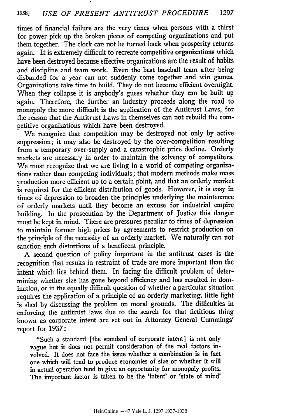times of financial failure are the very times when persons with a thirst for power pick up the broken pieces of competing organizations and put them together. The clock can not be turned back when prosperity returns again. It is extremely difficult to recreate competitive organizations which have been destroyed because effective organizations are the result of habits and discipline and team work. Even the best baseball team after being disbanded for a year can not suddenly come together and win games. Organizations take time to build. They do not become efficient overnight. When they collapse it is anybody's guess whether they can **be** built up again. Therefore, the further an industry proceeds along the road to monopoly the more difficult is the application of the Antitrust Laws, for the reason that the Antitrust Laws in themselves can not rebuild the competitive organizations which have been destroyed.

We recognize that competition may be destroyed not only by active suppression; it may also be destroyed by the over-competition resulting from a temporary over-supply and a catastrophic price decline. Orderly markets are necessary in order to maintain the solvency of competitors. We must recognize that we are living in a world of competing organizations rather than competing individuals; that modem methods make mass production more efficient up to a certain p'oint, and that an orderly market is required for the efficient distribution of goods. However, it is easy in times of depression to broaden the principles underlying the maintenance of orderly markets until they become an excuse for industrial empire building. In the prosecution **by** the Department of Justice this danger must be kept in mind. There are pressures peculiar to times of depression to maintain former high prices by agreements to restrict production on the principle of the necessity of an orderly market. We naturally can not sanction such distortions of a beneficent principle.

**A** second question of policy important in the antitrust cases is the recognition that results in restraint of trade are more important than the intent which lies behind them. In facing the difficult problem of determining whether size has gone beyond efficiency and has resulted in domination, or in the equally difficult question of whether a particular situation requires the application of a principle of an orderly marketing, little light is shed **by** discussing the problem on moral grounds. The difficulties in enforcing the antitrust laws due to the search for that fictitious thing known as corporate intent are set out in Attorney General Cummings' report for **1937:**

"Such a standard [the standard of corporate intent] is not only vague but it does not permit consideration of the real factors involved. It does not face the issue whether a combination is in fact one which will tend to produce economies of size or whether it will in actual operation tend to give an opportunity for monopoly profits. The important factor is taken to be the 'intent' or 'state of mind'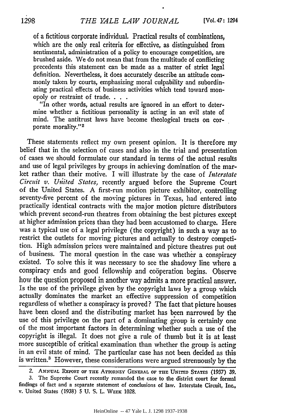of a fictitious corporate individual. Practical results of combinations, which are the only real criteria for effective, as distinguished from sentimental, administration of a policy to encourage competition, are brushed aside. We do not mean that from the multitude of conflicting precedents this statement can be made as a matter of strict legal definition. Nevertheless, it does accurately describe an attitude commonly taken by courts, emphasizing moral culpability and subordinating practical effects of business activities which tend toward monopoly or restraint of trade. . . .<br>"In other words, actual results are ignored in an effort to deter-

mine whether a fictitious personality is acting in an evil state of mind. The antitrust laws have become theological tracts on corporate morality."<sup>2</sup>

These statements reflect my own present opinion. It is therefore **my** belief that in the selection of cases and also in the trial and presentation of cases we should formulate our standard in terms of the actual results and use of legal privileges by groups in achieving domination of the market rather than their motive. I will illustrate by the case of *Interstate Circuit v. United States,* recently argued before the Supreme Court of the United States. A first-run motion picture exhibitor, controlling seventy-five percent of the moving pictures in Texas, had entered into practically identical contracts with the major motion picture distributors which prevent second-run theatres from obtaining the best pictures except at higher admission prices than they had been accustomed to charge. Here was a typical use of a legal privilege (the copyright) in such a way as to restrict the outlets for moving pictures and actually to destroy competition. High admission prices were maintained and picture theatres put out of business. The moral question in the case was whether a conspiracy existed. To solve this it was necessary to see the shadowy line where a conspiracy ends and good fellowship and cobperation begins. Observe how the question proposed in another way admits a more practical answer. Is the use of the privilege given by the copyright laws by a group which actually dominates the market an effective suppression of competition regardless of whether a conspiracy is proved? The fact that picture houses have been closed and the distributing market has been narrowed by the use of this privilege on the part of a dominating group is certainly one of the most important factors in determining whether such a use of the copyright is illegal. It does not give a rule of thumb but it is at least more susceptible of critical examination than whether the group is acting in an evil state of mind. The particular case has not been decided as this is written.<sup>3</sup> However, these considerations were argued strenuously by the

<sup>2.</sup> **ANNUAL REPORT OF THE ATTORNEY GENERAL OF THE UNITED STATES** (1937) **39.**

<sup>3.</sup> The Supreme Court recently remanded the case to the district court for formal findings of fact and a separate statement of conclusions of lav. Interstate Circuit, Inc., v. United States (1938) 5 U. S. L. **WEEX** 1028.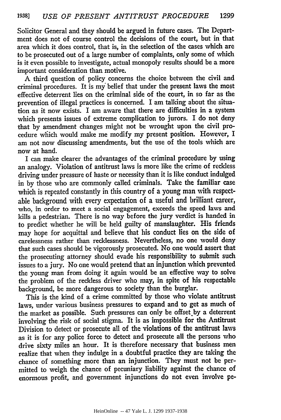Solicitor General and they should be argued in future cases. The Department does not of course control the decisions of the court, but in that area which it does control, that is, in the selection of the cases which are to be prosecuted out of a large number of complaints, only some of which is it even possible to investigate, actual monopoly results should be a more important consideration than motive.

A third question of policy concerns the choice between the civil and criminal procedures. It is my belief that under the present laws the most effective deterrent lies on the criminal side of the court, in so far as the prevention of illegal practices is concerned. I am talking about the situation as it now exists. I am aware that there are difficulties in a system which presents issues of extreme complication to jurors. I do not deny that by amendment changes might not be wrought upon the civil procedure which would make me modify my present position. However, I am not now discussing amendments, but the use of the tools which are now at hand.

I can make clearer the advantages of the criminal procedure by using an analogy. Violation of antitrust laws is more like the crime of reckless driving under pressure of haste or necessity than it is like conduct indulged in by those who are commonly called criminals. Take the familiar case which is repeated constantly in this country of a young man with respectable background with every expectation of a useful and brilliant career, who, in order to meet a social engagement, exceeds the speed laws and kills a pedestrian. There is no way before the jury verdict is handed in to predict whether he will be held guilty of manslaughter. His friends may hope for acquittal and believe that his conduct lies on the side of carelessness rather than recklessness. Nevertheless, no one would deny that such cases should be vigorously prosecuted. No one would assert that the prosecuting attorney should evade his responsibility to submit such issues to a jury. No one would pretend that an injunction which prevented the young man from doing it again would be an effective way to solve the problem of the reckless driver who may, in spite of his respectable background, be more dangerous to society than the burglar.

This is the kind of a crime committed by those who violate antitrust laws, under various business pressures to expand and to get as much of the market as possible. Such pressures can only be offset.by a deterrent involving the risk of social stigma. It is as impossible for the Antitrust Division to detect or prosecute all of the violations of the antitrust laws as it is for any police force to detect and prosecute all the persons who drive sixty miles an hour. It is therefore necessary that business men realize that when they indulge in a doubtful practice they are taking the chance of something more than an injunction. They must not be permitted to weigh the chance of pecuniary liability against the chance of enormous profit, and government injunctions do not even involve pe-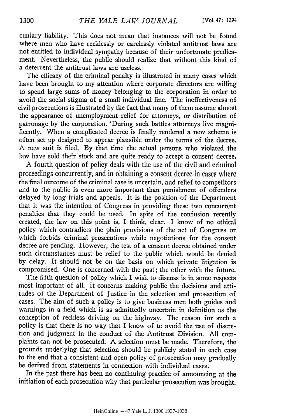cuniary liability. This does not mean that instances will not be found where men who have recklessly or carelessly violated antitrust laws are not entitled to individual sympathy because of their unfortunate predicament. Nevertheless, the public should realize that without this kind of a deterrent the antitrust laws are useless.

The efficacy of the criminal penalty is illustrated in many cases which have been brought to my attention where corporate directors are willing to spend large sums of money belonging to the corporation in order to avoid the social stigma of a small individual fine. The ineffectiveness of civil prosecutions is illustrated **by** the fact that many of them assume almost the appearance of unemployment relief for attorneys, or distribution of patronage **by** the corporation. 'During such battles attorneys live magnificently. When a complicated decree is finally rendered a **new** scheme is often set up designed to appear plausible under the terms of the decree. **A** new suit is filed. **By** that time the actual persons **who** violated the law have sold their stock and are quite ready to accept a consent decree.

**A** fourth question of policy deals with the use of the civil and criminal proceedings concurrently, and in obtaining a consent decree in cases where the final outcome of the criminal case is uncertain, and relief to competitors and to the public is even more important than punishment of offenders delayed **by** long trials and appeals. It is the position of the Department that it was the intention of Congress in providing these two concurrent penalties that they could be used. In spite of the confusion recently created, the law on this point is, I think, clear. I know of no ethical policy which contradicts the plain provisions of the act of Congress or which forbids criminal prosecutions while negotiations for the consent decree are pending. However, the test of a consent decree obtained under such circumstances must be relief to the public which would be denied **by** delay. It should not be on the basis on which private litigation is compromised. One is concerned with the past; the other with the future.

The fifth question of policy which I wish to discuss is in some respects most important of all. It concerns making public the decisions and attitudes of the Department of Justice in the selection and prosecution of cases. The aim of such a policy is to give business men both guides and warnings in a field which is as admittedly uncertain in definition as the conception of reckless driving on the highway. The reason for such a policy is that there is no way that I know of to avoid the use of discretion and judgment in the conduct of the Antitrust Division. **All** complaints can not be prosecuted. **A** selection must be made. Therefore, the grounds underlying that selection should be publicly stated in each case to the end that a consistent and open policy of prosecution may gradually be derived from statements in connection with individual cases.

In the past there has been no continuing practice of announcing at the initiation of each prosecution why that particular prosecution was brought.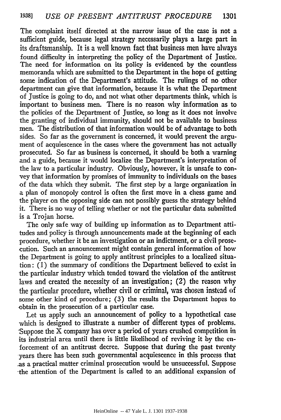The complaint itself directed at the narrow issue of the case is not a sufficient guide, because legal strategy necessarily plays a large part in its draftsmanship. It is a well known fact that business men have always found difficulty in interpreting the policy of the Department of Justice. The need for information on its policy is evidenced by the countless memoranda which are submitted to the Department in the hope of getting some indication of the Department's attitude. The rulings of no other department can give that information, because it is what the Department of Justice is going to do, and not what other departments think, which is important to business men. There is no reason why information as to the policies of the Department of Justice, so long as it does not involve the granting of individual immunity, should not be available to business men. The distribution of that information would be of advantage to both sides. So far as the government is concerned, it would prevent the argument of acquiescence in the cases where the government has not actually prosecuted. So far as business is concerned, it should be both a warning and a guide, because it would localize the Department's interpretation of the law to a particular industry. Obviously, however, it is unsafe to convey that information by promises of immunity to individuals on the bases of the data which they submit. The first step by a large organization in a plan of monopoly control is often the first move in a chess game and the player on the opposing side can not possibly guess the strategy behind it. There is no way of telling whether or not the particular data submitted is a Trojan horse.

The only safe way of building up information as to Department attitudes and policy is through announcements made at the beginning of each procedure, whether it be an investigation or an indictment, or a civil prosecution. Such an announcement might contain general information of how the Department is going to apply antitrust principles to a localized situation: (1) the summary of conditions the Department believed to exist in the particular industry which tended toward the violation of the antitrust laws and created the necessity of an investigation; (2) the reason why the particular procedure, whether civil or criminal, was chosen instead of some other kind of procedure; (3) the results the Department hopes to ,obtain in the prosecution of a particular case.

Let us apply such an announcement of policy to a hypothetical case which is designed to illustrate a number of different types of problems. Suppose the  $X$  company has over a period of years crushed competition in its industrial area until there is little likelihood of reviving it by the enforcement of an antitrust decree. Suppose that during the past twenty years there has been such governmental acquiescence in this process that .as a practical matter criminal prosecution would be unsuccessful. Suppose -the attention of the Department is called to an additional expansion of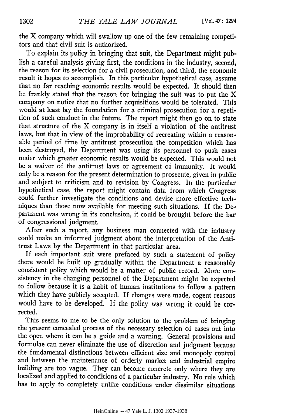the X company which will swallow up one of the few remaining competitors and that civil suit is authorized.

To explain its policy in bringing that suit, the Department might publish a careful analysis giving first, the conditions in the industry, second, the reason for its selection for a civil prosecution, and third, the economic result it hopes to accomplish. In this particular hypothetical case, assume that no far reaching economic results would be expected. It should then be frankly stated that the reason for bringing the suit was to put the X company on notice that no further acquisitions would be tolerated. This would at least lay the foundation for a criminal prosecution for a repetition of such conduct in the future. The report might then go on to state that structure of the X company is in itself a violation of the antitrust laws, but that in view of the improbability of recreating within a reasonable period of time by antitrust prosecution the competition which has been destroyed, the Department was using its personnel to push cases under which greater economic results would be expected. This would not be a waiver of the antitrust laws or agreement of immunity. It would only be a reason for the present determination to prosecute, given in public and subject to criticism and to revision by Congress. In the particular hypothetical case, the report might contain data from which Congress could further investigate the conditions and devise more effective techniques than those now available for meeting such situations. If the Department was wrong in its conclusion, it could be brought before the bar of congressional judgment.

After such a report, any business man connected with the industry could make an informed judgment about the interpretation of the Antitrust Laws by the Department in that particular area.

If each important suit were prefaced by such a statement of policy there would be built up gradually within the Department a reasonably consistent polity which would be a matter of public record. More consistency in the changing personnel of the Department might be expected to follow because it is a habit of human institutions to follow a pattern which they have publicly accepted. If changes were made, cogent reasons would have to be developed. If the policy was wrong it could be corrected.

This seems to me to be the only solution to the problem of bringing the present concealed process of the necessary selection of cases out into the open where it can be a guide and a warning. General provisions and formulae can never eliminate the use of discretion and judgment because the fundamental distinctions between efficient size and monopoly control and between the maintenance of orderly market and industrial empire building are too vague. They can become concrete only where they are localized and applied to conditions of a particular industry. No rule which has to apply to completely unlike conditions under dissimilar situations